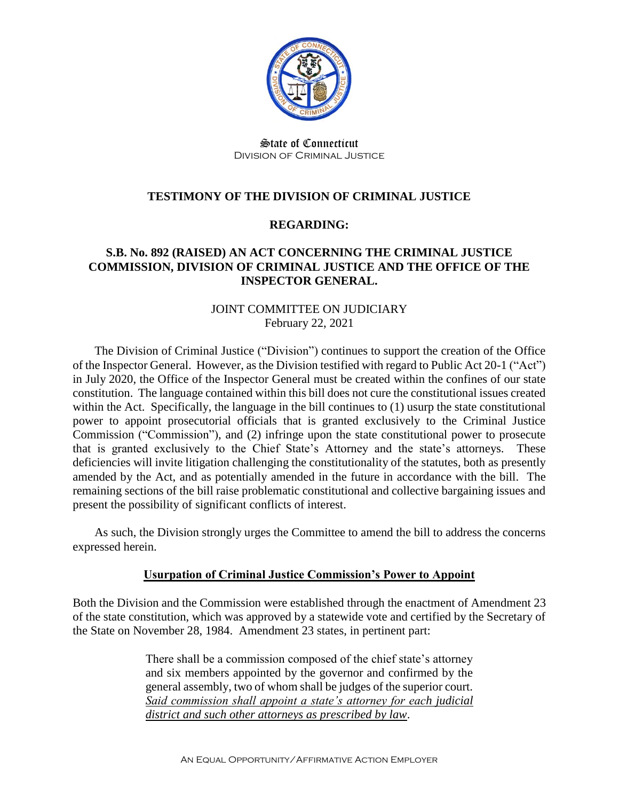

State of Connecticut Division of Criminal Justice

# **TESTIMONY OF THE DIVISION OF CRIMINAL JUSTICE**

#### **REGARDING:**

### **S.B. No. 892 (RAISED) AN ACT CONCERNING THE CRIMINAL JUSTICE COMMISSION, DIVISION OF CRIMINAL JUSTICE AND THE OFFICE OF THE INSPECTOR GENERAL.**

### JOINT COMMITTEE ON JUDICIARY February 22, 2021

The Division of Criminal Justice ("Division") continues to support the creation of the Office of the Inspector General. However, as the Division testified with regard to Public Act 20-1 ("Act") in July 2020, the Office of the Inspector General must be created within the confines of our state constitution. The language contained within this bill does not cure the constitutional issues created within the Act. Specifically, the language in the bill continues to (1) usurp the state constitutional power to appoint prosecutorial officials that is granted exclusively to the Criminal Justice Commission ("Commission"), and (2) infringe upon the state constitutional power to prosecute that is granted exclusively to the Chief State's Attorney and the state's attorneys. These deficiencies will invite litigation challenging the constitutionality of the statutes, both as presently amended by the Act, and as potentially amended in the future in accordance with the bill. The remaining sections of the bill raise problematic constitutional and collective bargaining issues and present the possibility of significant conflicts of interest.

As such, the Division strongly urges the Committee to amend the bill to address the concerns expressed herein.

#### **Usurpation of Criminal Justice Commission's Power to Appoint**

Both the Division and the Commission were established through the enactment of Amendment 23 of the state constitution, which was approved by a statewide vote and certified by the Secretary of the State on November 28, 1984. Amendment 23 states, in pertinent part:

> There shall be a commission composed of the chief state's attorney and six members appointed by the governor and confirmed by the general assembly, two of whom shall be judges of the superior court. *Said commission shall appoint a state's attorney for each judicial district and such other attorneys as prescribed by law*.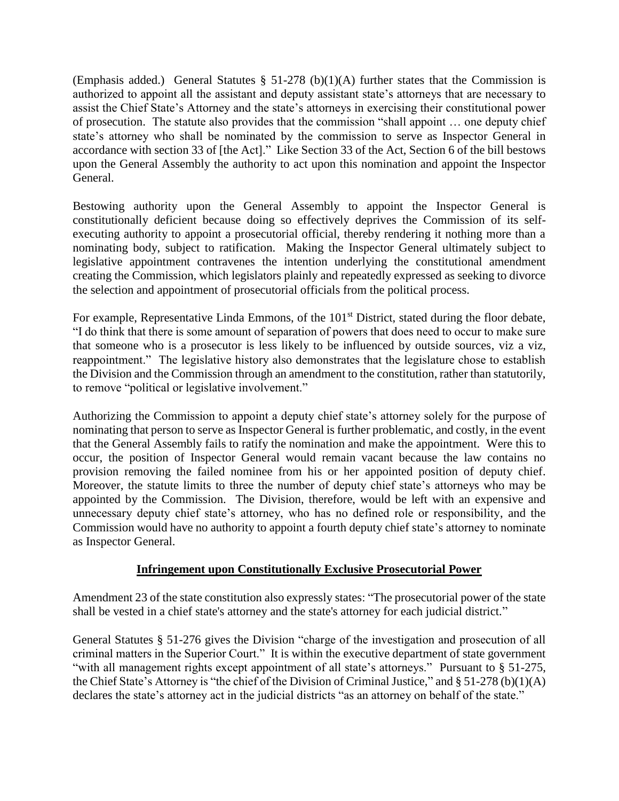(Emphasis added.) General Statutes  $\S$  51-278 (b)(1)(A) further states that the Commission is authorized to appoint all the assistant and deputy assistant state's attorneys that are necessary to assist the Chief State's Attorney and the state's attorneys in exercising their constitutional power of prosecution. The statute also provides that the commission "shall appoint … one deputy chief state's attorney who shall be nominated by the commission to serve as Inspector General in accordance with section 33 of [the Act]." Like Section 33 of the Act, Section 6 of the bill bestows upon the General Assembly the authority to act upon this nomination and appoint the Inspector General.

Bestowing authority upon the General Assembly to appoint the Inspector General is constitutionally deficient because doing so effectively deprives the Commission of its selfexecuting authority to appoint a prosecutorial official, thereby rendering it nothing more than a nominating body, subject to ratification. Making the Inspector General ultimately subject to legislative appointment contravenes the intention underlying the constitutional amendment creating the Commission, which legislators plainly and repeatedly expressed as seeking to divorce the selection and appointment of prosecutorial officials from the political process.

For example, Representative Linda Emmons, of the 101<sup>st</sup> District, stated during the floor debate, "I do think that there is some amount of separation of powers that does need to occur to make sure that someone who is a prosecutor is less likely to be influenced by outside sources, viz a viz, reappointment." The legislative history also demonstrates that the legislature chose to establish the Division and the Commission through an amendment to the constitution, rather than statutorily, to remove "political or legislative involvement."

Authorizing the Commission to appoint a deputy chief state's attorney solely for the purpose of nominating that person to serve as Inspector General is further problematic, and costly, in the event that the General Assembly fails to ratify the nomination and make the appointment. Were this to occur, the position of Inspector General would remain vacant because the law contains no provision removing the failed nominee from his or her appointed position of deputy chief. Moreover, the statute limits to three the number of deputy chief state's attorneys who may be appointed by the Commission. The Division, therefore, would be left with an expensive and unnecessary deputy chief state's attorney, who has no defined role or responsibility, and the Commission would have no authority to appoint a fourth deputy chief state's attorney to nominate as Inspector General.

# **Infringement upon Constitutionally Exclusive Prosecutorial Power**

Amendment 23 of the state constitution also expressly states: "The prosecutorial power of the state shall be vested in a chief state's attorney and the state's attorney for each judicial district."

General Statutes § 51-276 gives the Division "charge of the investigation and prosecution of all criminal matters in the Superior Court." It is within the executive department of state government "with all management rights except appointment of all state's attorneys." Pursuant to § 51-275, the Chief State's Attorney is "the chief of the Division of Criminal Justice," and § 51-278 (b)(1)(A) declares the state's attorney act in the judicial districts "as an attorney on behalf of the state."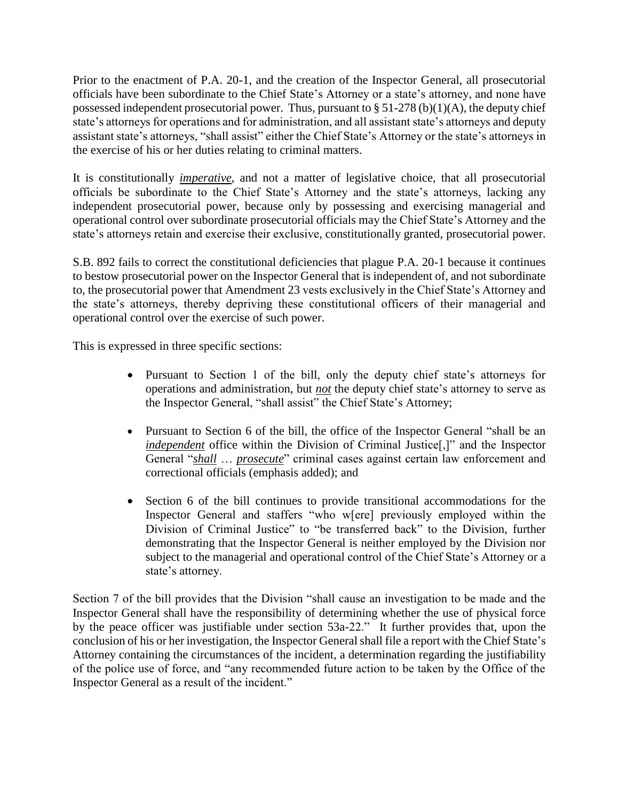Prior to the enactment of P.A. 20-1, and the creation of the Inspector General, all prosecutorial officials have been subordinate to the Chief State's Attorney or a state's attorney, and none have possessed independent prosecutorial power. Thus, pursuant to  $\S 51-278(b)(1)(A)$ , the deputy chief state's attorneys for operations and for administration, and all assistant state's attorneys and deputy assistant state's attorneys, "shall assist" either the Chief State's Attorney or the state's attorneys in the exercise of his or her duties relating to criminal matters.

It is constitutionally *imperative*, and not a matter of legislative choice, that all prosecutorial officials be subordinate to the Chief State's Attorney and the state's attorneys, lacking any independent prosecutorial power, because only by possessing and exercising managerial and operational control over subordinate prosecutorial officials may the Chief State's Attorney and the state's attorneys retain and exercise their exclusive, constitutionally granted, prosecutorial power.

S.B. 892 fails to correct the constitutional deficiencies that plague P.A. 20-1 because it continues to bestow prosecutorial power on the Inspector General that is independent of, and not subordinate to, the prosecutorial power that Amendment 23 vests exclusively in the Chief State's Attorney and the state's attorneys, thereby depriving these constitutional officers of their managerial and operational control over the exercise of such power.

This is expressed in three specific sections:

- Pursuant to Section 1 of the bill, only the deputy chief state's attorneys for operations and administration, but *not* the deputy chief state's attorney to serve as the Inspector General, "shall assist" the Chief State's Attorney;
- Pursuant to Section 6 of the bill, the office of the Inspector General "shall be an *independent* office within the Division of Criminal Justice<sup>[1]</sup>, and the Inspector General "*shall* … *prosecute*" criminal cases against certain law enforcement and correctional officials (emphasis added); and
- Section 6 of the bill continues to provide transitional accommodations for the Inspector General and staffers "who w[ere] previously employed within the Division of Criminal Justice" to "be transferred back" to the Division, further demonstrating that the Inspector General is neither employed by the Division nor subject to the managerial and operational control of the Chief State's Attorney or a state's attorney.

Section 7 of the bill provides that the Division "shall cause an investigation to be made and the Inspector General shall have the responsibility of determining whether the use of physical force by the peace officer was justifiable under section 53a-22." It further provides that, upon the conclusion of his or her investigation, the Inspector General shall file a report with the Chief State's Attorney containing the circumstances of the incident, a determination regarding the justifiability of the police use of force, and "any recommended future action to be taken by the Office of the Inspector General as a result of the incident."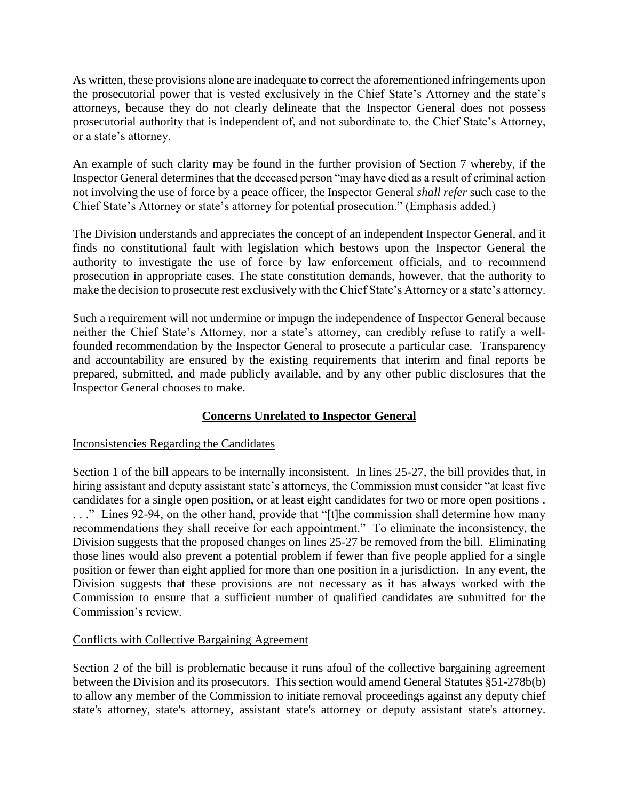As written, these provisions alone are inadequate to correct the aforementioned infringements upon the prosecutorial power that is vested exclusively in the Chief State's Attorney and the state's attorneys, because they do not clearly delineate that the Inspector General does not possess prosecutorial authority that is independent of, and not subordinate to, the Chief State's Attorney, or a state's attorney.

An example of such clarity may be found in the further provision of Section 7 whereby, if the Inspector General determines that the deceased person "may have died as a result of criminal action not involving the use of force by a peace officer, the Inspector General *shall refer* such case to the Chief State's Attorney or state's attorney for potential prosecution." (Emphasis added.)

The Division understands and appreciates the concept of an independent Inspector General, and it finds no constitutional fault with legislation which bestows upon the Inspector General the authority to investigate the use of force by law enforcement officials, and to recommend prosecution in appropriate cases. The state constitution demands, however, that the authority to make the decision to prosecute rest exclusively with the Chief State's Attorney or a state's attorney.

Such a requirement will not undermine or impugn the independence of Inspector General because neither the Chief State's Attorney, nor a state's attorney, can credibly refuse to ratify a wellfounded recommendation by the Inspector General to prosecute a particular case. Transparency and accountability are ensured by the existing requirements that interim and final reports be prepared, submitted, and made publicly available, and by any other public disclosures that the Inspector General chooses to make.

# **Concerns Unrelated to Inspector General**

# Inconsistencies Regarding the Candidates

Section 1 of the bill appears to be internally inconsistent. In lines 25-27, the bill provides that, in hiring assistant and deputy assistant state's attorneys, the Commission must consider "at least five candidates for a single open position, or at least eight candidates for two or more open positions . . . ." Lines 92-94, on the other hand, provide that "[t]he commission shall determine how many recommendations they shall receive for each appointment." To eliminate the inconsistency, the Division suggests that the proposed changes on lines 25-27 be removed from the bill. Eliminating those lines would also prevent a potential problem if fewer than five people applied for a single position or fewer than eight applied for more than one position in a jurisdiction. In any event, the Division suggests that these provisions are not necessary as it has always worked with the Commission to ensure that a sufficient number of qualified candidates are submitted for the Commission's review.

# Conflicts with Collective Bargaining Agreement

Section 2 of the bill is problematic because it runs afoul of the collective bargaining agreement between the Division and its prosecutors. This section would amend General Statutes §51-278b(b) to allow any member of the Commission to initiate removal proceedings against any deputy chief state's attorney, state's attorney, assistant state's attorney or deputy assistant state's attorney.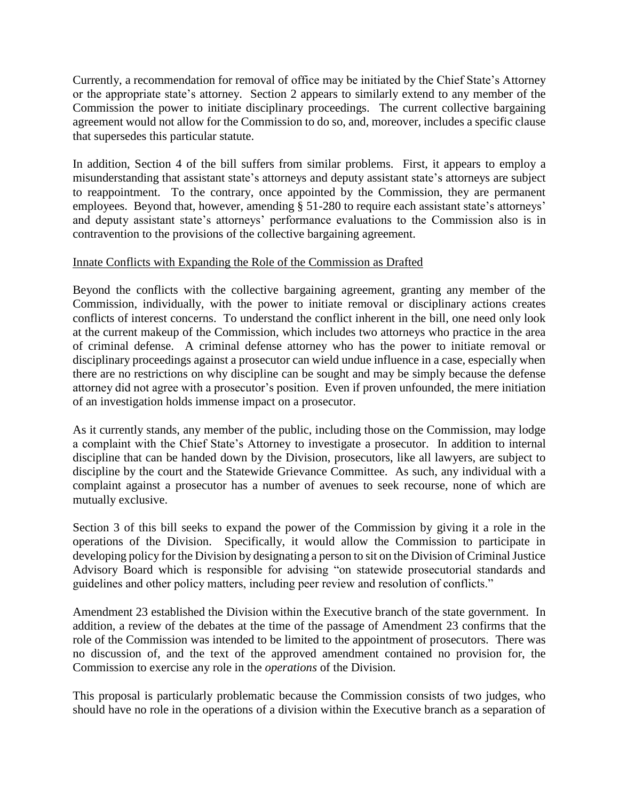Currently, a recommendation for removal of office may be initiated by the Chief State's Attorney or the appropriate state's attorney. Section 2 appears to similarly extend to any member of the Commission the power to initiate disciplinary proceedings. The current collective bargaining agreement would not allow for the Commission to do so, and, moreover, includes a specific clause that supersedes this particular statute.

In addition, Section 4 of the bill suffers from similar problems. First, it appears to employ a misunderstanding that assistant state's attorneys and deputy assistant state's attorneys are subject to reappointment. To the contrary, once appointed by the Commission, they are permanent employees. Beyond that, however, amending § 51-280 to require each assistant state's attorneys' and deputy assistant state's attorneys' performance evaluations to the Commission also is in contravention to the provisions of the collective bargaining agreement.

### Innate Conflicts with Expanding the Role of the Commission as Drafted

Beyond the conflicts with the collective bargaining agreement, granting any member of the Commission, individually, with the power to initiate removal or disciplinary actions creates conflicts of interest concerns. To understand the conflict inherent in the bill, one need only look at the current makeup of the Commission, which includes two attorneys who practice in the area of criminal defense. A criminal defense attorney who has the power to initiate removal or disciplinary proceedings against a prosecutor can wield undue influence in a case, especially when there are no restrictions on why discipline can be sought and may be simply because the defense attorney did not agree with a prosecutor's position. Even if proven unfounded, the mere initiation of an investigation holds immense impact on a prosecutor.

As it currently stands, any member of the public, including those on the Commission, may lodge a complaint with the Chief State's Attorney to investigate a prosecutor. In addition to internal discipline that can be handed down by the Division, prosecutors, like all lawyers, are subject to discipline by the court and the Statewide Grievance Committee. As such, any individual with a complaint against a prosecutor has a number of avenues to seek recourse, none of which are mutually exclusive.

Section 3 of this bill seeks to expand the power of the Commission by giving it a role in the operations of the Division. Specifically, it would allow the Commission to participate in developing policy for the Division by designating a person to sit on the Division of Criminal Justice Advisory Board which is responsible for advising "on statewide prosecutorial standards and guidelines and other policy matters, including peer review and resolution of conflicts."

Amendment 23 established the Division within the Executive branch of the state government. In addition, a review of the debates at the time of the passage of Amendment 23 confirms that the role of the Commission was intended to be limited to the appointment of prosecutors. There was no discussion of, and the text of the approved amendment contained no provision for, the Commission to exercise any role in the *operations* of the Division.

This proposal is particularly problematic because the Commission consists of two judges, who should have no role in the operations of a division within the Executive branch as a separation of